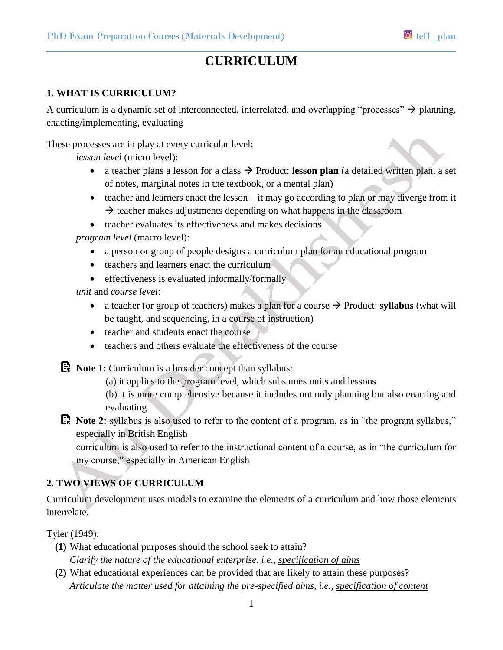# **CURRICULUM**

# **1. WHAT IS CURRICULUM?**

A curriculum is a dynamic set of interconnected, interrelated, and overlapping "processes"  $\rightarrow$  planning, enacting/implementing, evaluating

These processes are in play at every curricular level:

*lesson level* (micro level):

- a teacher plans a lesson for a class  $\rightarrow$  Product: **lesson plan** (a detailed written plan, a set of notes, marginal notes in the textbook, or a mental plan)
- $\bullet$  teacher and learners enact the lesson it may go according to plan or may diverge from it  $\rightarrow$  teacher makes adjustments depending on what happens in the classroom
- teacher evaluates its effectiveness and makes decisions

*program level* (macro level):

- a person or group of people designs a curriculum plan for an educational program
- teachers and learners enact the curriculum
- $\bullet$  effectiveness is evaluated informally/formally

*unit* and *course level*:

- a teacher (or group of teachers) makes a plan for a course  $\rightarrow$  Product: **syllabus** (what will be taught, and sequencing, in a course of instruction)
- teacher and students enact the course
- teachers and others evaluate the effectiveness of the course

**E** Note 1: Curriculum is a broader concept than syllabus:

(a) it applies to the program level, which subsumes units and lessons

(b) it is more comprehensive because it includes not only planning but also enacting and evaluating

**Note 2:** syllabus is also used to refer to the content of a program, as in "the program syllabus," especially in British English

curriculum is also used to refer to the instructional content of a course, as in "the curriculum for my course," especially in American English

# **2. TWO VIEWS OF CURRICULUM**

Curriculum development uses models to examine the elements of a curriculum and how those elements interrelate.

Tyler (1949):

- **(1)** What educational purposes should the school seek to attain? *Clarify the nature of the educational enterprise, i.e., specification of aims*
- **(2)** What educational experiences can be provided that are likely to attain these purposes? *Articulate the matter used for attaining the pre-specified aims, i.e., specification of content*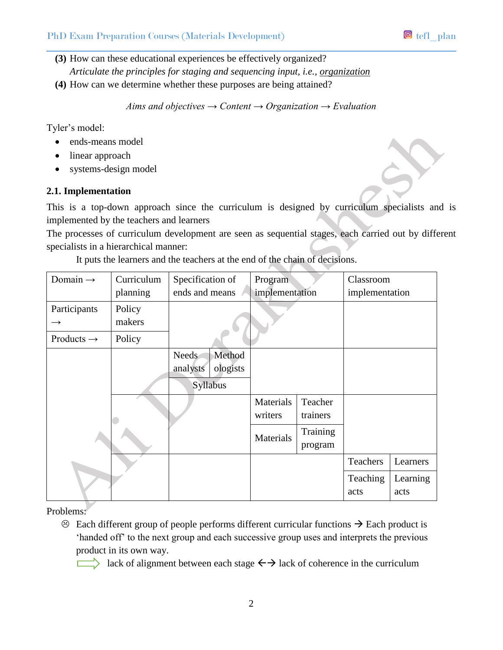# PhD Exam Preparation Courses (Materials Development) **D** tefl plan

**(3)** How can these educational experiences be effectively organized?

*Articulate the principles for staging and sequencing input, i.e., organization*

**(4)** How can we determine whether these purposes are being attained?

*Aims and objectives → Content → Organization → Evaluation*

Tyler's model:

- ends-means model
- linear approach
- systems-design model

#### **2.1. Implementation**

This is a top-down approach since the curriculum is designed by curriculum specialists and is implemented by the teachers and learners

The processes of curriculum development are seen as sequential stages, each carried out by different specialists in a hierarchical manner:

It puts the learners and the teachers at the end of the chain of decisions.

| Domain $\rightarrow$   | Curriculum | Specification of                                           | Program              |                     | Classroom        |                  |
|------------------------|------------|------------------------------------------------------------|----------------------|---------------------|------------------|------------------|
|                        | planning   | ends and means                                             | implementation       |                     | implementation   |                  |
| Participants           | Policy     |                                                            |                      |                     |                  |                  |
| $\rightarrow$          | makers     |                                                            |                      |                     |                  |                  |
| Products $\rightarrow$ | Policy     |                                                            |                      |                     |                  |                  |
|                        |            | Method<br><b>Needs</b><br>analysts<br>ologists<br>Syllabus |                      |                     |                  |                  |
|                        |            |                                                            | Materials<br>writers | Teacher<br>trainers |                  |                  |
|                        |            |                                                            | Materials            | Training<br>program |                  |                  |
|                        |            |                                                            |                      |                     | Teachers         | Learners         |
|                        |            |                                                            |                      |                     | Teaching<br>acts | Learning<br>acts |

Problems:

 $\odot$  Each different group of people performs different curricular functions  $\rightarrow$  Each product is 'handed off' to the next group and each successive group uses and interprets the previous product in its own way.

lack of alignment between each stage  $\leftrightarrow$  lack of coherence in the curriculum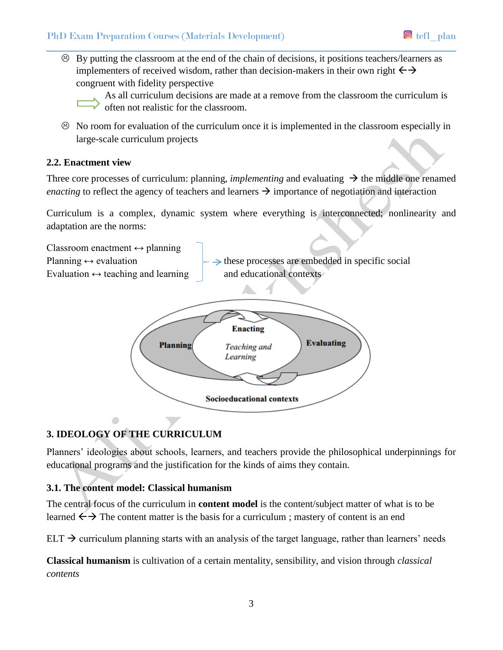$\odot$  By putting the classroom at the end of the chain of decisions, it positions teachers/learners as implementers of received wisdom, rather than decision-makers in their own right  $\leftrightarrow$ congruent with fidelity perspective

As all curriculum decisions are made at a remove from the classroom the curriculum is often not realistic for the classroom.

 $\odot$  No room for evaluation of the curriculum once it is implemented in the classroom especially in large-scale curriculum projects

#### **2.2. Enactment view**

Three core processes of curriculum: planning, *implementing* and evaluating  $\rightarrow$  the middle one renamed *enacting* to reflect the agency of teachers and learners  $\rightarrow$  importance of negotiation and interaction

Curriculum is a complex, dynamic system where everything is interconnected; nonlinearity and adaptation are the norms:





# **3. IDEOLOGY OF THE CURRICULUM**

Planners' ideologies about schools, learners, and teachers provide the philosophical underpinnings for educational programs and the justification for the kinds of aims they contain.

# **3.1. The content model: Classical humanism**

The central focus of the curriculum in **content model** is the content/subject matter of what is to be learned  $\leftarrow \rightarrow$  The content matter is the basis for a curriculum ; mastery of content is an end

 $ELT \rightarrow$  curriculum planning starts with an analysis of the target language, rather than learners' needs

**Classical humanism** is cultivation of a certain mentality, sensibility, and vision through *classical contents*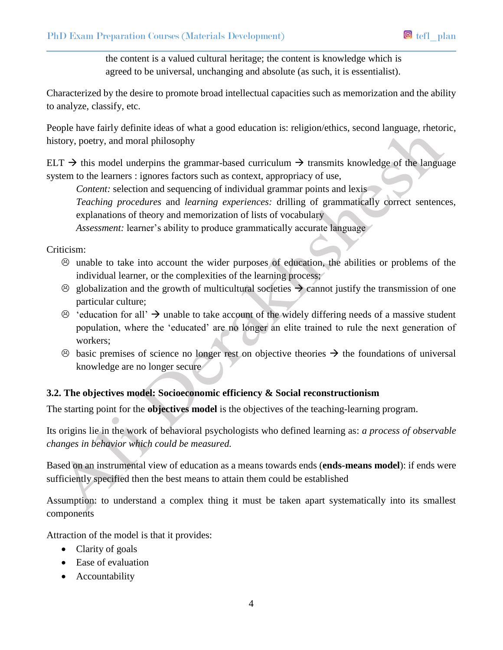the content is a valued cultural heritage; the content is knowledge which is agreed to be universal, unchanging and absolute (as such, it is essentialist).

Characterized by the desire to promote broad intellectual capacities such as memorization and the ability to analyze, classify, etc.

People have fairly definite ideas of what a good education is: religion/ethics, second language, rhetoric, history, poetry, and moral philosophy

ELT  $\rightarrow$  this model underpins the grammar-based curriculum  $\rightarrow$  transmits knowledge of the language system to the learners : ignores factors such as context, appropriacy of use,

*Content:* selection and sequencing of individual grammar points and lexis

*Teaching procedures* and *learning experiences:* drilling of grammatically correct sentences, explanations of theory and memorization of lists of vocabulary

*Assessment:* learner's ability to produce grammatically accurate language

#### Criticism:

- $\odot$  unable to take into account the wider purposes of education, the abilities or problems of the individual learner, or the complexities of the learning process;
- $\odot$  globalization and the growth of multicultural societies  $\rightarrow$  cannot justify the transmission of one particular culture;
- $\odot$  'education for all'  $\rightarrow$  unable to take account of the widely differing needs of a massive student population, where the 'educated' are no longer an elite trained to rule the next generation of workers;
- $\odot$  basic premises of science no longer rest on objective theories  $\rightarrow$  the foundations of universal knowledge are no longer secure

#### **3.2. The objectives model: Socioeconomic efficiency & Social reconstructionism**

The starting point for the **objectives model** is the objectives of the teaching-learning program.

Its origins lie in the work of behavioral psychologists who defined learning as: *a process of observable changes in behavior which could be measured.*

Based on an instrumental view of education as a means towards ends (**ends-means model**): if ends were sufficiently specified then the best means to attain them could be established

Assumption: to understand a complex thing it must be taken apart systematically into its smallest components

Attraction of the model is that it provides:

- Clarity of goals
- Ease of evaluation
- Accountability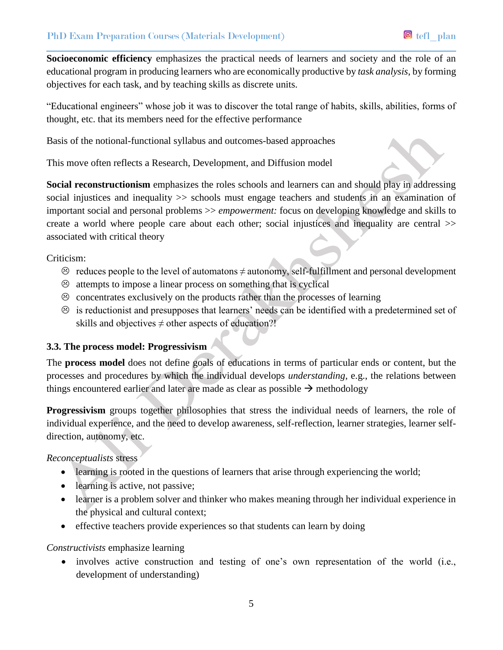**Socioeconomic efficiency** emphasizes the practical needs of learners and society and the role of an educational program in producing learners who are economically productive by *task analysis*, by forming objectives for each task, and by teaching skills as discrete units.

"Educational engineers" whose job it was to discover the total range of habits, skills, abilities, forms of thought, etc. that its members need for the effective performance

Basis of the notional-functional syllabus and outcomes-based approaches

This move often reflects a Research, Development, and Diffusion model

**Social reconstructionism** emphasizes the roles schools and learners can and should play in addressing social injustices and inequality >> schools must engage teachers and students in an examination of important social and personal problems >> *empowerment:* focus on developing knowledge and skills to create a world where people care about each other; social injustices and inequality are central >> associated with critical theory

#### Criticism:

- $\odot$  reduces people to the level of automatons  $\neq$  autonomy, self-fulfillment and personal development
- $\odot$  attempts to impose a linear process on something that is cyclical
- $\odot$  concentrates exclusively on the products rather than the processes of learning
- $\odot$  is reductionist and presupposes that learners' needs can be identified with a predetermined set of skills and objectives  $\neq$  other aspects of education?!

# **3.3. The process model: Progressivism**

The **process model** does not define goals of educations in terms of particular ends or content, but the processes and procedures by which the individual develops *understanding*, e.g., the relations between things encountered earlier and later are made as clear as possible  $\rightarrow$  methodology

**Progressivism** groups together philosophies that stress the individual needs of learners, the role of individual experience, and the need to develop awareness, self-reflection, learner strategies, learner selfdirection, autonomy, etc.

# *Reconceptualists* stress

- learning is rooted in the questions of learners that arise through experiencing the world;
- learning is active, not passive;
- learner is a problem solver and thinker who makes meaning through her individual experience in the physical and cultural context;
- effective teachers provide experiences so that students can learn by doing

# *Constructivists* emphasize learning

• involves active construction and testing of one's own representation of the world (i.e., development of understanding)